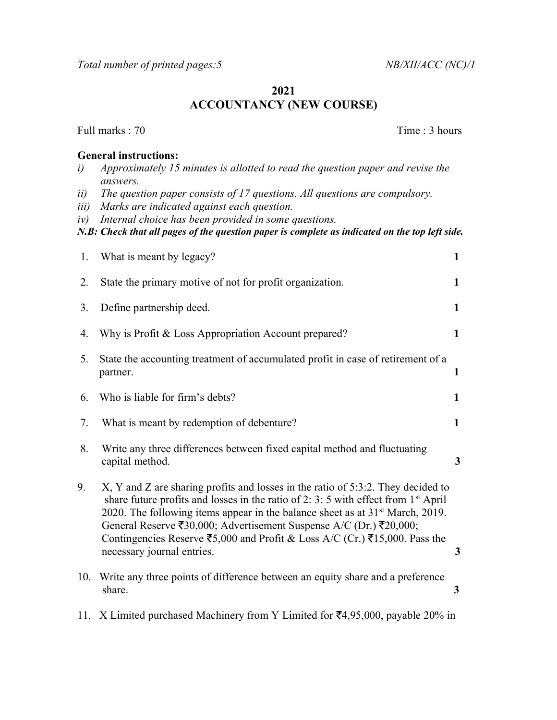Total number of printed pages: 5 NB/XII/ACC (NC)/1

# 2021 ACCOUNTANCY (NEW COURSE)

Full marks : 70 Time : 3 hours

#### General instructions:

- i) Approximately 15 minutes is allotted to read the question paper and revise the answers.
- ii) The question paper consists of 17 questions. All questions are compulsory.
- iii) Marks are indicated against each question.
- iv) Internal choice has been provided in some questions.

N.B: Check that all pages of the question paper is complete as indicated on the top left side.

| 1.  | What is meant by legacy?                                                                                                                                                                                                                                                                                                                                                                                                                                                 | 1            |
|-----|--------------------------------------------------------------------------------------------------------------------------------------------------------------------------------------------------------------------------------------------------------------------------------------------------------------------------------------------------------------------------------------------------------------------------------------------------------------------------|--------------|
| 2.  | State the primary motive of not for profit organization.                                                                                                                                                                                                                                                                                                                                                                                                                 | $\mathbf{1}$ |
| 3.  | Define partnership deed.                                                                                                                                                                                                                                                                                                                                                                                                                                                 | $\mathbf{1}$ |
| 4.  | Why is Profit & Loss Appropriation Account prepared?                                                                                                                                                                                                                                                                                                                                                                                                                     | $\mathbf{1}$ |
| 5.  | State the accounting treatment of accumulated profit in case of retirement of a<br>partner.                                                                                                                                                                                                                                                                                                                                                                              | $\mathbf{1}$ |
| 6.  | Who is liable for firm's debts?                                                                                                                                                                                                                                                                                                                                                                                                                                          | $\mathbf{1}$ |
| 7.  | What is meant by redemption of debenture?                                                                                                                                                                                                                                                                                                                                                                                                                                | $\mathbf{1}$ |
| 8.  | Write any three differences between fixed capital method and fluctuating<br>capital method.                                                                                                                                                                                                                                                                                                                                                                              | 3            |
| 9.  | X, Y and Z are sharing profits and losses in the ratio of 5:3:2. They decided to<br>share future profits and losses in the ratio of 2: 3: 5 with effect from $1st$ April<br>2020. The following items appear in the balance sheet as at $31st$ March, 2019.<br>General Reserve ₹30,000; Advertisement Suspense A/C (Dr.) ₹20,000;<br>Contingencies Reserve $\overline{5}5,000$ and Profit & Loss A/C (Cr.) $\overline{5}15,000$ . Pass the<br>necessary journal entries. | 3            |
| 10. | Write any three points of difference between an equity share and a preference<br>share.                                                                                                                                                                                                                                                                                                                                                                                  | $\mathbf{3}$ |

11. X Limited purchased Machinery from Y Limited for  $\text{\textsterling}4,95,000$ , payable 20% in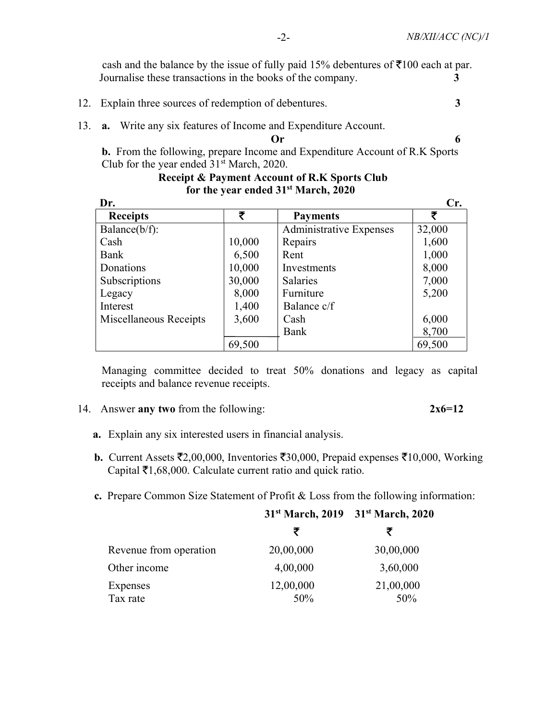cash and the balance by the issue of fully paid 15% debentures of  $\bar{\mathfrak{g}}$ 100 each at par. Journalise these transactions in the books of the company. 3

- 12. Explain three sources of redemption of debentures. 3
- 13. a. Write any six features of Income and Expenditure Account.

 $\mathbf{O}\mathbf{r}$  6

 b. From the following, prepare Income and Expenditure Account of R.K Sports Club for the year ended  $31<sup>st</sup>$  March, 2020.

 Receipt & Payment Account of R.K Sports Club for the year ended 31<sup>st</sup> March, 2020

| <b>Receipts</b>        | ₹      | <b>Payments</b>                | ₹      |
|------------------------|--------|--------------------------------|--------|
| Balance $(b/f)$ :      |        | <b>Administrative Expenses</b> | 32,000 |
| Cash                   | 10,000 | Repairs                        | 1,600  |
| Bank                   | 6,500  | Rent                           | 1,000  |
| Donations              | 10,000 | Investments                    | 8,000  |
| Subscriptions          | 30,000 | <b>Salaries</b>                | 7,000  |
| Legacy                 | 8,000  | Furniture                      | 5,200  |
| Interest               | 1,400  | Balance c/f                    |        |
| Miscellaneous Receipts | 3,600  | Cash                           | 6,000  |
|                        |        | Bank                           | 8,700  |
|                        | 69,500 |                                | 69,500 |

 Managing committee decided to treat 50% donations and legacy as capital receipts and balance revenue receipts.

14. Answer any two from the following:  $2x6=12$ 

- a. Explain any six interested users in financial analysis.
- **b.** Current Assets  $\bar{\mathbf{z}}_{2,00,000}$ , Inventories  $\bar{\mathbf{z}}_{30,000}$ , Prepaid expenses  $\bar{\mathbf{z}}_{10,000}$ , Working Capital  $\bar{\tau}$ 1,68,000. Calculate current ratio and quick ratio.
- c. Prepare Common Size Statement of Profit & Loss from the following information:

|                        |                  | 31 <sup>st</sup> March, 2019 31 <sup>st</sup> March, 2020 |
|------------------------|------------------|-----------------------------------------------------------|
|                        | ₹                |                                                           |
| Revenue from operation | 20,00,000        | 30,00,000                                                 |
| Other income           | 4,00,000         | 3,60,000                                                  |
| Expenses<br>Tax rate   | 12,00,000<br>50% | 21,00,000<br>50%                                          |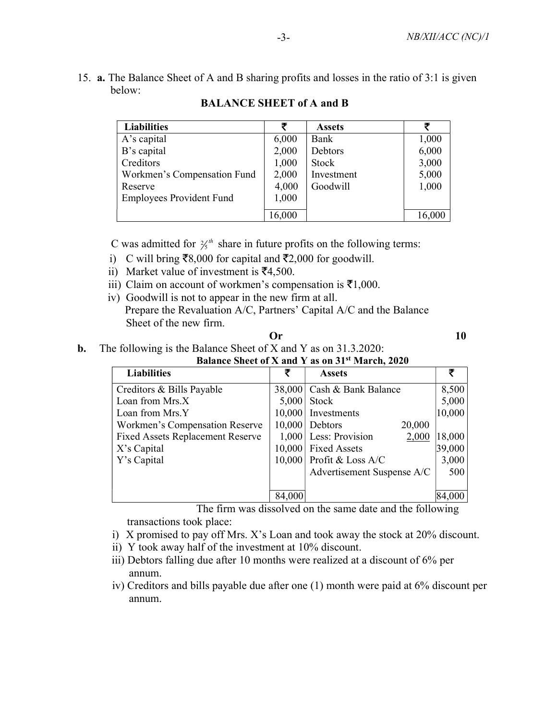15. a. The Balance Sheet of A and B sharing profits and losses in the ratio of 3:1 is given below:

| <b>Liabilities</b>              | ₹      | <b>Assets</b> | ₹     |
|---------------------------------|--------|---------------|-------|
| A's capital                     | 6,000  | Bank          | 1,000 |
| B's capital                     | 2,000  | Debtors       | 6,000 |
| Creditors                       | 1,000  | Stock         | 3,000 |
| Workmen's Compensation Fund     | 2,000  | Investment    | 5,000 |
| Reserve                         | 4,000  | Goodwill      | 1,000 |
| <b>Employees Provident Fund</b> | 1,000  |               |       |
|                                 |        |               |       |
|                                 | 16,000 |               |       |

# BALANCE SHEET of A and B

C was admitted for  $\frac{2}{5}$ <sup>th</sup> share in future profits on the following terms:

- i) C will bring  $\bar{\mathcal{R}}8,000$  for capital and  $\bar{\mathcal{R}}2,000$  for goodwill.
- ii) Market value of investment is  $\bar{x}$ 4,500.
- iii) Claim on account of workmen's compensation is  $\bar{\mathfrak{Z}}1,000$ .
- iv) Goodwill is not to appear in the new firm at all. Prepare the Revaluation A/C, Partners' Capital A/C and the Balance Sheet of the new firm.

| Or | 10 |
|----|----|
|----|----|

### b. The following is the Balance Sheet of X and Y as on 31.3.2020:

|  | Balance Sheet of X and Y as on 31 <sup>st</sup> March, 2020 |  |  |  |  |
|--|-------------------------------------------------------------|--|--|--|--|
|  |                                                             |  |  |  |  |

| <b>Liabilities</b>                      | ₹      | <b>Assets</b>                    |        |
|-----------------------------------------|--------|----------------------------------|--------|
| Creditors & Bills Payable               |        | 38,000 Cash & Bank Balance       | 8,500  |
| Loan from Mrs.X                         | 5,000  | Stock                            | 5,000  |
| Loan from Mrs.Y                         |        | 10,000 Investments               | 10,000 |
| Workmen's Compensation Reserve          |        | 10,000 Debtors<br>20,000         |        |
| <b>Fixed Assets Replacement Reserve</b> |        | $1,000$ Less: Provision<br>2,000 | 18,000 |
| X's Capital                             |        | 10,000 Fixed Assets              | 39,000 |
| Y's Capital                             |        | $10,000$ Profit & Loss A/C       | 3,000  |
|                                         |        | Advertisement Suspense A/C       | 500    |
|                                         |        |                                  |        |
|                                         | 84,000 |                                  |        |

 The firm was dissolved on the same date and the following transactions took place:

- i) X promised to pay off Mrs. X's Loan and took away the stock at 20% discount.
- ii) Y took away half of the investment at 10% discount.
- iii) Debtors falling due after 10 months were realized at a discount of 6% per annum.
- iv) Creditors and bills payable due after one (1) month were paid at 6% discount per annum.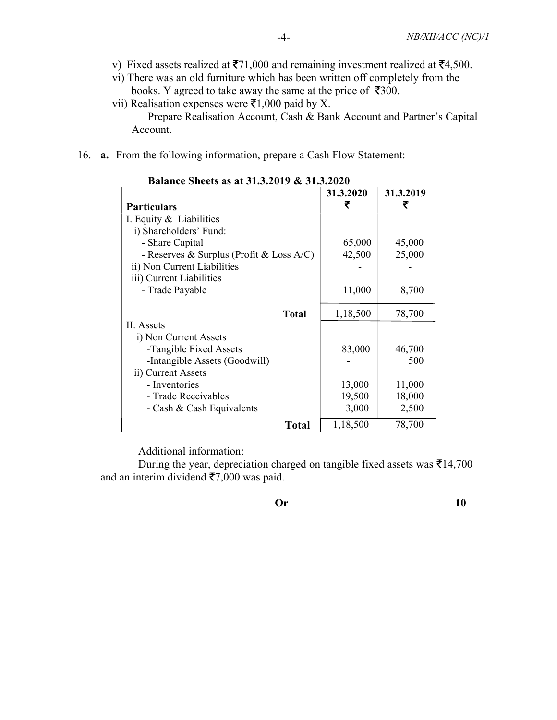- v) Fixed assets realized at  $\overline{5}71,000$  and remaining investment realized at  $\overline{5}4,500$ .
- vi) There was an old furniture which has been written off completely from the books. Y agreed to take away the same at the price of  $\overline{\mathfrak{3}}300$ .
- vii) Realisation expenses were  $\bar{z}$ 1,000 paid by X.

 Prepare Realisation Account, Cash & Bank Account and Partner's Capital Account.

16. a. From the following information, prepare a Cash Flow Statement:

| <b>Particulars</b>                          |              | 31.3.2020<br>₹ | 31.3.2019<br>₹ |
|---------------------------------------------|--------------|----------------|----------------|
|                                             |              |                |                |
| I. Equity & Liabilities                     |              |                |                |
| i) Shareholders' Fund:                      |              |                |                |
| - Share Capital                             |              | 65,000         | 45,000         |
| - Reserves & Surplus (Profit & Loss $A/C$ ) |              | 42,500         | 25,000         |
| ii) Non Current Liabilities                 |              |                |                |
| iii) Current Liabilities                    |              |                |                |
| - Trade Payable                             |              | 11,000         | 8,700          |
|                                             |              |                |                |
|                                             | Total        | 1,18,500       | 78,700         |
| <b>II.</b> Assets                           |              |                |                |
| i) Non Current Assets                       |              |                |                |
| -Tangible Fixed Assets                      |              | 83,000         | 46,700         |
| -Intangible Assets (Goodwill)               |              |                | 500            |
| ii) Current Assets                          |              |                |                |
| - Inventories                               |              | 13,000         | 11,000         |
| - Trade Receivables                         |              | 19,500         | 18,000         |
| - Cash & Cash Equivalents                   |              | 3,000          | 2,500          |
|                                             | <b>Total</b> | 1,18,500       | 78,700         |

#### Balance Sheets as at 31.3.2019 & 31.3.2020

Additional information:

During the year, depreciation charged on tangible fixed assets was  $\overline{\tau}14,700$ and an interim dividend  $\overline{57,000}$  was paid.

Or 10